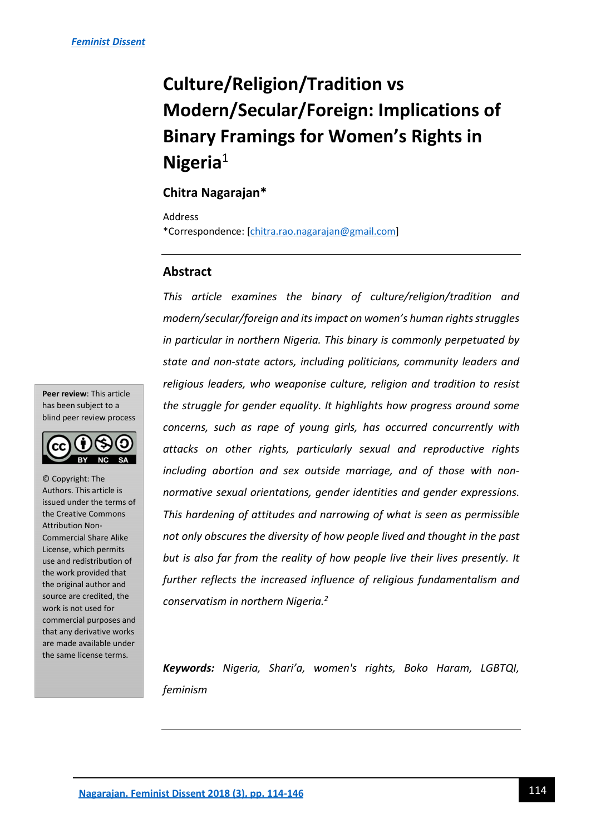# **Culture/Religion/Tradition vs Modern/Secular/Foreign: Implications of Binary Framings for Women's Rights in Nigeria**<sup>1</sup>

# **Chitra Nagarajan\***

Address

\*Correspondence: [\[chitra.rao.nagarajan@gmail.com\]](mailto:chitra.rao.nagarajan@gmail.com)

## **Abstract**

*This article examines the binary of culture/religion/tradition and modern/secular/foreign and its impact on women's human rights struggles in particular in northern Nigeria. This binary is commonly perpetuated by state and non-state actors, including politicians, community leaders and religious leaders, who weaponise culture, religion and tradition to resist the struggle for gender equality. It highlights how progress around some concerns, such as rape of young girls, has occurred concurrently with attacks on other rights, particularly sexual and reproductive rights including abortion and sex outside marriage, and of those with nonnormative sexual orientations, gender identities and gender expressions. This hardening of attitudes and narrowing of what is seen as permissible not only obscures the diversity of how people lived and thought in the past but is also far from the reality of how people live their lives presently. It further reflects the increased influence of religious fundamentalism and conservatism in northern Nigeria.<sup>2</sup>* 

*Keywords: Nigeria, Shari'a, women's rights, Boko Haram, LGBTQI, feminism* 

**Peer review**: This article has been subject to a blind peer review process



© Copyright: The Authors. This article is issued under the terms of the Creative Commons Attribution Non-Commercial Share Alike License, which permits use and redistribution of the work provided that the original author and source are credited, the work is not used for commercial purposes and that any derivative works are made available under the same license terms.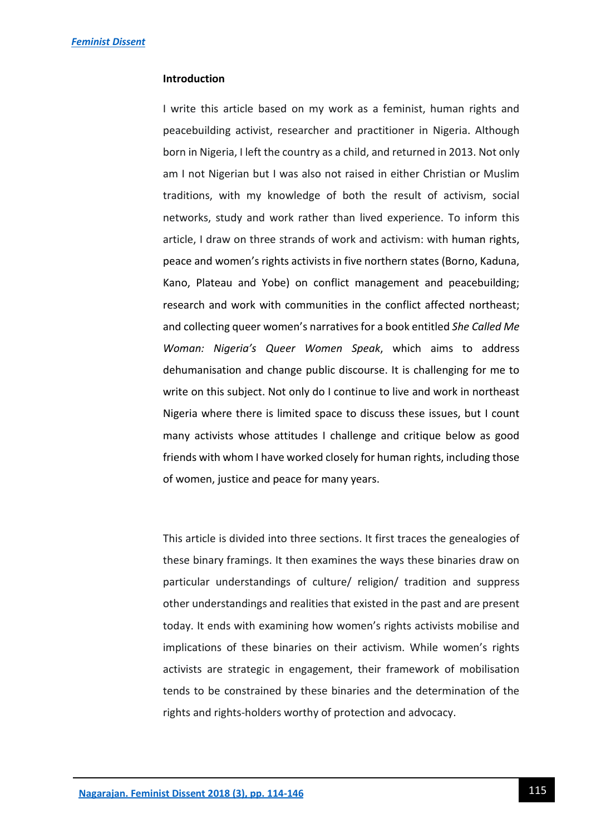## **Introduction**

I write this article based on my work as a feminist, human rights and peacebuilding activist, researcher and practitioner in Nigeria. Although born in Nigeria, I left the country as a child, and returned in 2013. Not only am I not Nigerian but I was also not raised in either Christian or Muslim traditions, with my knowledge of both the result of activism, social networks, study and work rather than lived experience. To inform this article, I draw on three strands of work and activism: with human rights, peace and women's rights activists in five northern states (Borno, Kaduna, Kano, Plateau and Yobe) on conflict management and peacebuilding; research and work with communities in the conflict affected northeast; and collecting queer women's narratives for a book entitled *She Called Me Woman: Nigeria's Queer Women Speak*, which aims to address dehumanisation and change public discourse. It is challenging for me to write on this subject. Not only do I continue to live and work in northeast Nigeria where there is limited space to discuss these issues, but I count many activists whose attitudes I challenge and critique below as good friends with whom I have worked closely for human rights, including those of women, justice and peace for many years.

This article is divided into three sections. It first traces the genealogies of these binary framings. It then examines the ways these binaries draw on particular understandings of culture/ religion/ tradition and suppress other understandings and realities that existed in the past and are present today. It ends with examining how women's rights activists mobilise and implications of these binaries on their activism. While women's rights activists are strategic in engagement, their framework of mobilisation tends to be constrained by these binaries and the determination of the rights and rights-holders worthy of protection and advocacy.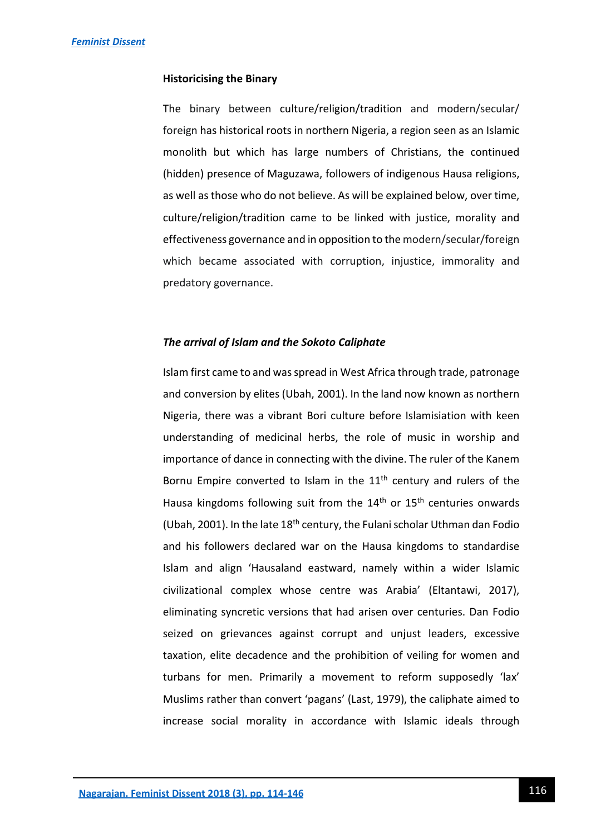### **Historicising the Binary**

The binary between culture/religion/tradition and modern/secular/ foreign has historical roots in northern Nigeria, a region seen as an Islamic monolith but which has large numbers of Christians, the continued (hidden) presence of Maguzawa, followers of indigenous Hausa religions, as well as those who do not believe. As will be explained below, over time, culture/religion/tradition came to be linked with justice, morality and effectiveness governance and in opposition to the modern/secular/foreign which became associated with corruption, injustice, immorality and predatory governance.

## *The arrival of Islam and the Sokoto Caliphate*

Islam first came to and was spread in West Africa through trade, patronage and conversion by elites (Ubah, 2001). In the land now known as northern Nigeria, there was a vibrant Bori culture before Islamisiation with keen understanding of medicinal herbs, the role of music in worship and importance of dance in connecting with the divine. The ruler of the Kanem Bornu Empire converted to Islam in the  $11<sup>th</sup>$  century and rulers of the Hausa kingdoms following suit from the  $14<sup>th</sup>$  or  $15<sup>th</sup>$  centuries onwards (Ubah, 2001). In the late  $18<sup>th</sup>$  century, the Fulani scholar Uthman dan Fodio and his followers declared war on the Hausa kingdoms to standardise Islam and align 'Hausaland eastward, namely within a wider Islamic civilizational complex whose centre was Arabia' (Eltantawi, 2017), eliminating syncretic versions that had arisen over centuries. Dan Fodio seized on grievances against corrupt and unjust leaders, excessive taxation, elite decadence and the prohibition of veiling for women and turbans for men. Primarily a movement to reform supposedly 'lax' Muslims rather than convert 'pagans' (Last, 1979), the caliphate aimed to increase social morality in accordance with Islamic ideals through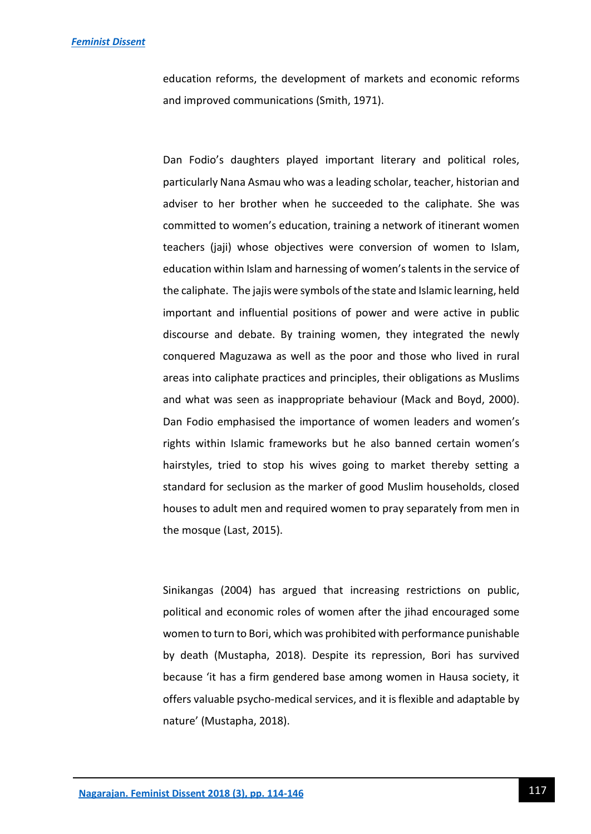education reforms, the development of markets and economic reforms and improved communications (Smith, 1971).

Dan Fodio's daughters played important literary and political roles, particularly Nana Asmau who was a leading scholar, teacher, historian and adviser to her brother when he succeeded to the caliphate. She was committed to women's education, training a network of itinerant women teachers (jaji) whose objectives were conversion of women to Islam, education within Islam and harnessing of women's talents in the service of the caliphate. The jajis were symbols of the state and Islamic learning, held important and influential positions of power and were active in public discourse and debate. By training women, they integrated the newly conquered Maguzawa as well as the poor and those who lived in rural areas into caliphate practices and principles, their obligations as Muslims and what was seen as inappropriate behaviour (Mack and Boyd, 2000). Dan Fodio emphasised the importance of women leaders and women's rights within Islamic frameworks but he also banned certain women's hairstyles, tried to stop his wives going to market thereby setting a standard for seclusion as the marker of good Muslim households, closed houses to adult men and required women to pray separately from men in the mosque (Last, 2015).

Sinikangas (2004) has argued that increasing restrictions on public, political and economic roles of women after the jihad encouraged some women to turn to Bori, which was prohibited with performance punishable by death (Mustapha, 2018). Despite its repression, Bori has survived because 'it has a firm gendered base among women in Hausa society, it offers valuable psycho-medical services, and it is flexible and adaptable by nature' (Mustapha, 2018).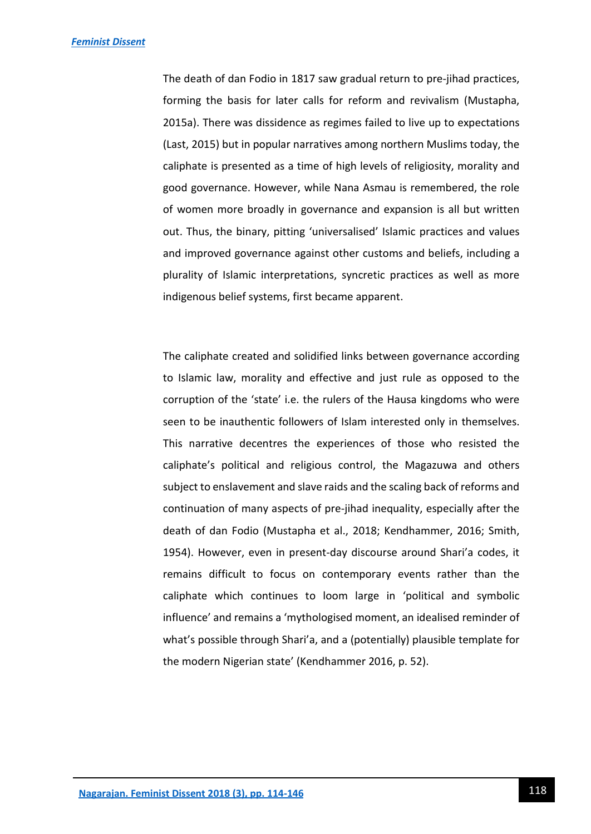The death of dan Fodio in 1817 saw gradual return to pre-jihad practices, forming the basis for later calls for reform and revivalism (Mustapha, 2015a). There was dissidence as regimes failed to live up to expectations (Last, 2015) but in popular narratives among northern Muslims today, the caliphate is presented as a time of high levels of religiosity, morality and good governance. However, while Nana Asmau is remembered, the role of women more broadly in governance and expansion is all but written out. Thus, the binary, pitting 'universalised' Islamic practices and values and improved governance against other customs and beliefs, including a plurality of Islamic interpretations, syncretic practices as well as more indigenous belief systems, first became apparent.

The caliphate created and solidified links between governance according to Islamic law, morality and effective and just rule as opposed to the corruption of the 'state' i.e. the rulers of the Hausa kingdoms who were seen to be inauthentic followers of Islam interested only in themselves. This narrative decentres the experiences of those who resisted the caliphate's political and religious control, the Magazuwa and others subject to enslavement and slave raids and the scaling back of reforms and continuation of many aspects of pre-jihad inequality, especially after the death of dan Fodio (Mustapha et al., 2018; Kendhammer, 2016; Smith, 1954). However, even in present-day discourse around Shari'a codes, it remains difficult to focus on contemporary events rather than the caliphate which continues to loom large in 'political and symbolic influence' and remains a 'mythologised moment, an idealised reminder of what's possible through Shari'a, and a (potentially) plausible template for the modern Nigerian state' (Kendhammer 2016, p. 52).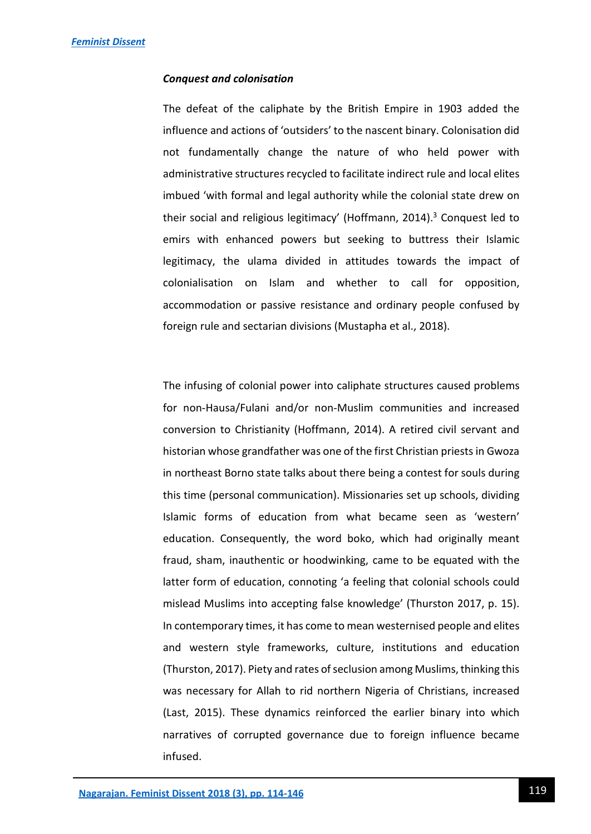#### *Conquest and colonisation*

The defeat of the caliphate by the British Empire in 1903 added the influence and actions of 'outsiders' to the nascent binary. Colonisation did not fundamentally change the nature of who held power with administrative structures recycled to facilitate indirect rule and local elites imbued 'with formal and legal authority while the colonial state drew on their social and religious legitimacy' (Hoffmann, 2014).<sup>3</sup> Conquest led to emirs with enhanced powers but seeking to buttress their Islamic legitimacy, the ulama divided in attitudes towards the impact of colonialisation on Islam and whether to call for opposition, accommodation or passive resistance and ordinary people confused by foreign rule and sectarian divisions (Mustapha et al., 2018).

The infusing of colonial power into caliphate structures caused problems for non-Hausa/Fulani and/or non-Muslim communities and increased conversion to Christianity (Hoffmann, 2014). A retired civil servant and historian whose grandfather was one of the first Christian priests in Gwoza in northeast Borno state talks about there being a contest for souls during this time (personal communication). Missionaries set up schools, dividing Islamic forms of education from what became seen as 'western' education. Consequently, the word boko, which had originally meant fraud, sham, inauthentic or hoodwinking, came to be equated with the latter form of education, connoting 'a feeling that colonial schools could mislead Muslims into accepting false knowledge' (Thurston 2017, p. 15). In contemporary times, it has come to mean westernised people and elites and western style frameworks, culture, institutions and education (Thurston, 2017). Piety and rates of seclusion among Muslims, thinking this was necessary for Allah to rid northern Nigeria of Christians, increased (Last, 2015). These dynamics reinforced the earlier binary into which narratives of corrupted governance due to foreign influence became infused.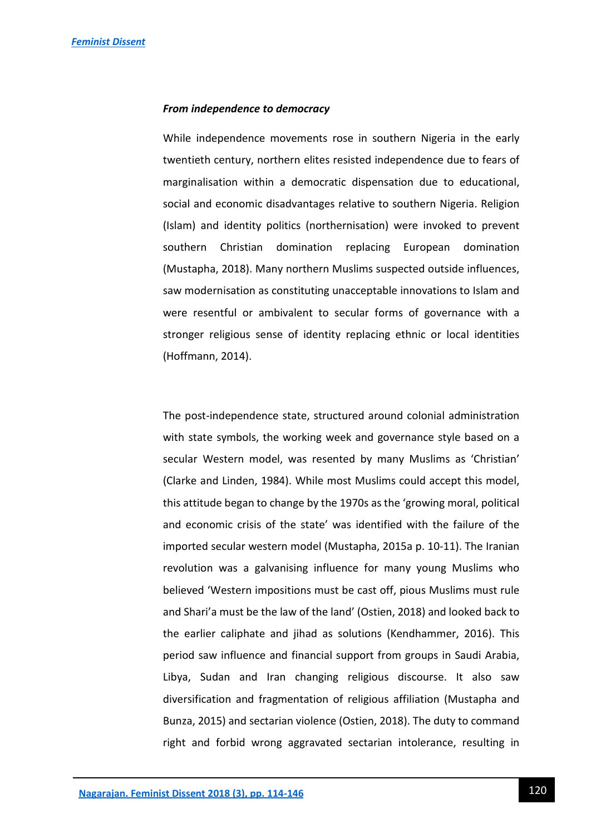#### *From independence to democracy*

While independence movements rose in southern Nigeria in the early twentieth century, northern elites resisted independence due to fears of marginalisation within a democratic dispensation due to educational, social and economic disadvantages relative to southern Nigeria. Religion (Islam) and identity politics (northernisation) were invoked to prevent southern Christian domination replacing European domination (Mustapha, 2018). Many northern Muslims suspected outside influences, saw modernisation as constituting unacceptable innovations to Islam and were resentful or ambivalent to secular forms of governance with a stronger religious sense of identity replacing ethnic or local identities (Hoffmann, 2014).

The post-independence state, structured around colonial administration with state symbols, the working week and governance style based on a secular Western model, was resented by many Muslims as 'Christian' (Clarke and Linden, 1984). While most Muslims could accept this model, this attitude began to change by the 1970s as the 'growing moral, political and economic crisis of the state' was identified with the failure of the imported secular western model (Mustapha, 2015a p. 10-11). The Iranian revolution was a galvanising influence for many young Muslims who believed 'Western impositions must be cast off, pious Muslims must rule and Shari'a must be the law of the land' (Ostien, 2018) and looked back to the earlier caliphate and jihad as solutions (Kendhammer, 2016). This period saw influence and financial support from groups in Saudi Arabia, Libya, Sudan and Iran changing religious discourse. It also saw diversification and fragmentation of religious affiliation (Mustapha and Bunza, 2015) and sectarian violence (Ostien, 2018). The duty to command right and forbid wrong aggravated sectarian intolerance, resulting in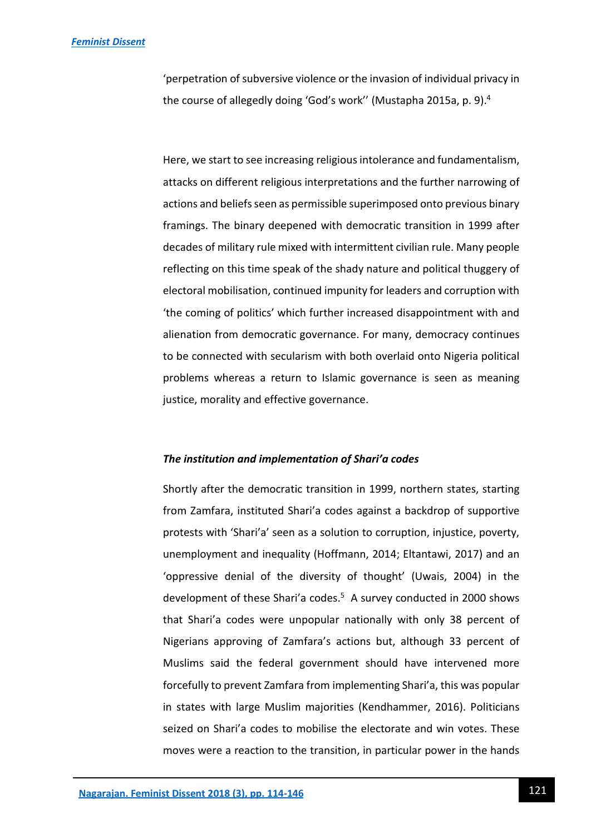'perpetration of subversive violence or the invasion of individual privacy in the course of allegedly doing 'God's work'' (Mustapha 2015a, p. 9).<sup>4</sup>

Here, we start to see increasing religious intolerance and fundamentalism, attacks on different religious interpretations and the further narrowing of actions and beliefs seen as permissible superimposed onto previous binary framings. The binary deepened with democratic transition in 1999 after decades of military rule mixed with intermittent civilian rule. Many people reflecting on this time speak of the shady nature and political thuggery of electoral mobilisation, continued impunity for leaders and corruption with 'the coming of politics' which further increased disappointment with and alienation from democratic governance. For many, democracy continues to be connected with secularism with both overlaid onto Nigeria political problems whereas a return to Islamic governance is seen as meaning justice, morality and effective governance.

#### *The institution and implementation of Shari'a codes*

Shortly after the democratic transition in 1999, northern states, starting from Zamfara, instituted Shari'a codes against a backdrop of supportive protests with 'Shari'a' seen as a solution to corruption, injustice, poverty, unemployment and inequality (Hoffmann, 2014; Eltantawi, 2017) and an 'oppressive denial of the diversity of thought' (Uwais, 2004) in the development of these Shari'a codes.<sup>5</sup> A survey conducted in 2000 shows that Shari'a codes were unpopular nationally with only 38 percent of Nigerians approving of Zamfara's actions but, although 33 percent of Muslims said the federal government should have intervened more forcefully to prevent Zamfara from implementing Shari'a, this was popular in states with large Muslim majorities (Kendhammer, 2016). Politicians seized on Shari'a codes to mobilise the electorate and win votes. These moves were a reaction to the transition, in particular power in the hands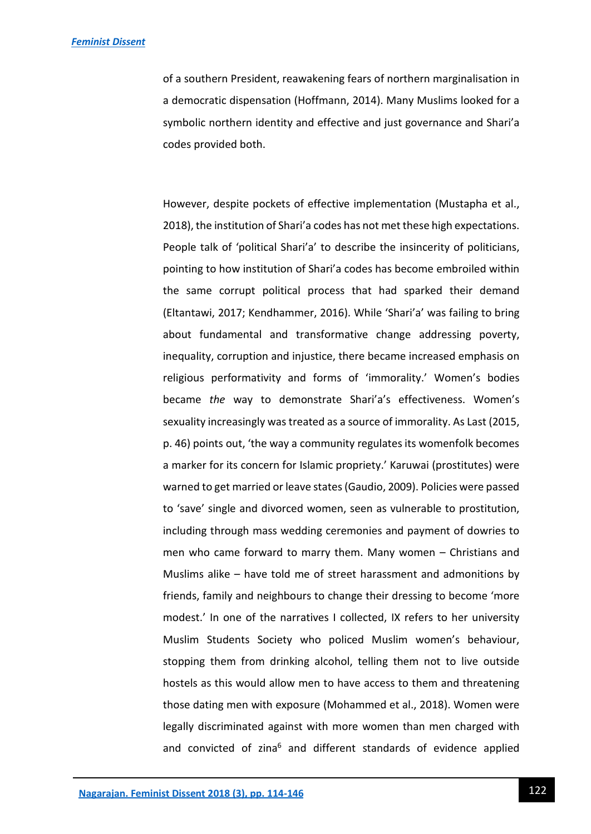of a southern President, reawakening fears of northern marginalisation in a democratic dispensation (Hoffmann, 2014). Many Muslims looked for a symbolic northern identity and effective and just governance and Shari'a codes provided both.

However, despite pockets of effective implementation (Mustapha et al., 2018), the institution of Shari'a codes has not met these high expectations. People talk of 'political Shari'a' to describe the insincerity of politicians, pointing to how institution of Shari'a codes has become embroiled within the same corrupt political process that had sparked their demand (Eltantawi, 2017; Kendhammer, 2016). While 'Shari'a' was failing to bring about fundamental and transformative change addressing poverty, inequality, corruption and injustice, there became increased emphasis on religious performativity and forms of 'immorality.' Women's bodies became *the* way to demonstrate Shari'a's effectiveness. Women's sexuality increasingly was treated as a source of immorality. As Last (2015, p. 46) points out, 'the way a community regulates its womenfolk becomes a marker for its concern for Islamic propriety.' Karuwai (prostitutes) were warned to get married or leave states (Gaudio, 2009). Policies were passed to 'save' single and divorced women, seen as vulnerable to prostitution, including through mass wedding ceremonies and payment of dowries to men who came forward to marry them. Many women – Christians and Muslims alike – have told me of street harassment and admonitions by friends, family and neighbours to change their dressing to become 'more modest.' In one of the narratives I collected, IX refers to her university Muslim Students Society who policed Muslim women's behaviour, stopping them from drinking alcohol, telling them not to live outside hostels as this would allow men to have access to them and threatening those dating men with exposure (Mohammed et al., 2018). Women were legally discriminated against with more women than men charged with and convicted of zina<sup>6</sup> and different standards of evidence applied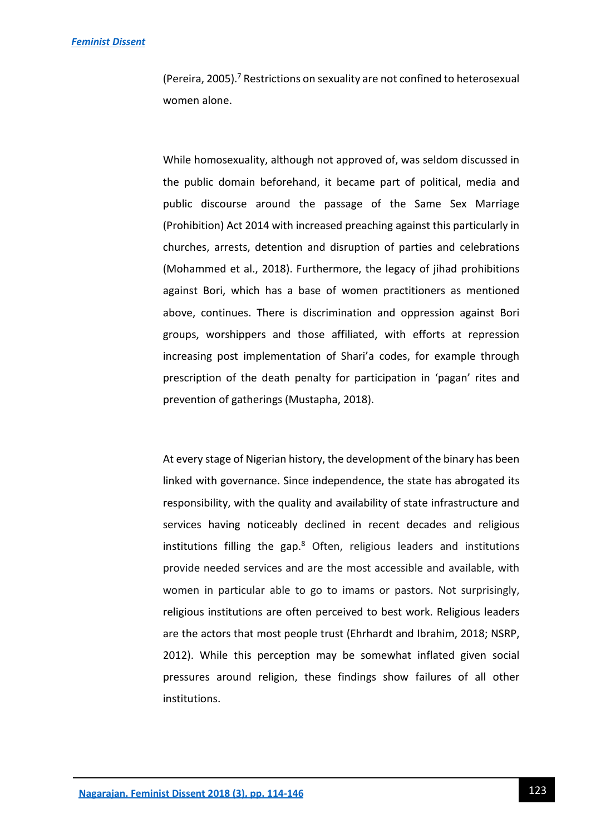#### *[Feminist Dissent](https://journals.warwick.ac.uk/index.php/feministdissent/index)*

(Pereira, 2005).<sup>7</sup> Restrictions on sexuality are not confined to heterosexual women alone.

While homosexuality, although not approved of, was seldom discussed in the public domain beforehand, it became part of political, media and public discourse around the passage of the Same Sex Marriage (Prohibition) Act 2014 with increased preaching against this particularly in churches, arrests, detention and disruption of parties and celebrations (Mohammed et al., 2018). Furthermore, the legacy of jihad prohibitions against Bori, which has a base of women practitioners as mentioned above, continues. There is discrimination and oppression against Bori groups, worshippers and those affiliated, with efforts at repression increasing post implementation of Shari'a codes, for example through prescription of the death penalty for participation in 'pagan' rites and prevention of gatherings (Mustapha, 2018).

At every stage of Nigerian history, the development of the binary has been linked with governance. Since independence, the state has abrogated its responsibility, with the quality and availability of state infrastructure and services having noticeably declined in recent decades and religious institutions filling the gap.<sup>8</sup> Often, religious leaders and institutions provide needed services and are the most accessible and available, with women in particular able to go to imams or pastors. Not surprisingly, religious institutions are often perceived to best work. Religious leaders are the actors that most people trust (Ehrhardt and Ibrahim, 2018; NSRP, 2012). While this perception may be somewhat inflated given social pressures around religion, these findings show failures of all other institutions.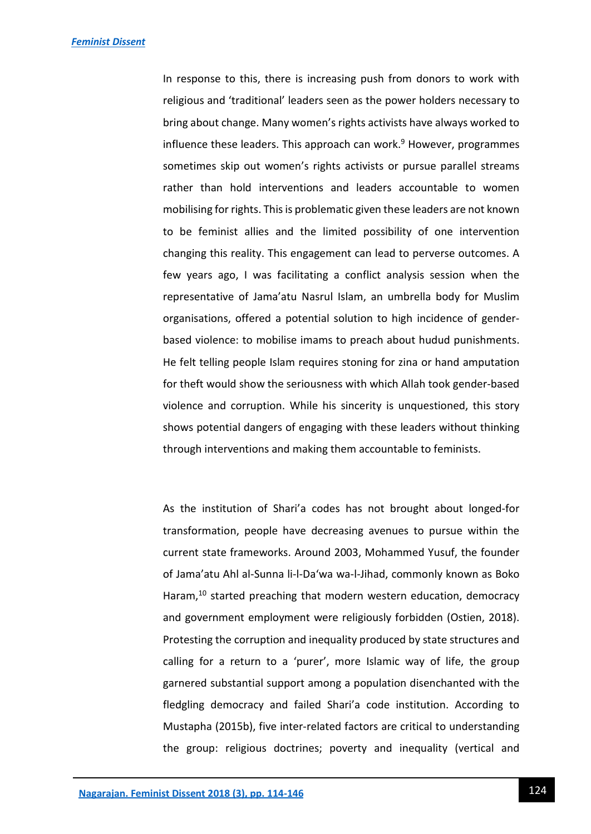In response to this, there is increasing push from donors to work with religious and 'traditional' leaders seen as the power holders necessary to bring about change. Many women's rights activists have always worked to influence these leaders. This approach can work.<sup>9</sup> However, programmes sometimes skip out women's rights activists or pursue parallel streams rather than hold interventions and leaders accountable to women mobilising for rights. This is problematic given these leaders are not known to be feminist allies and the limited possibility of one intervention changing this reality. This engagement can lead to perverse outcomes. A few years ago, I was facilitating a conflict analysis session when the representative of Jama'atu Nasrul Islam, an umbrella body for Muslim organisations, offered a potential solution to high incidence of genderbased violence: to mobilise imams to preach about hudud punishments. He felt telling people Islam requires stoning for zina or hand amputation for theft would show the seriousness with which Allah took gender-based violence and corruption. While his sincerity is unquestioned, this story shows potential dangers of engaging with these leaders without thinking through interventions and making them accountable to feminists.

As the institution of Shari'a codes has not brought about longed-for transformation, people have decreasing avenues to pursue within the current state frameworks. Around 2003, Mohammed Yusuf, the founder of Jama'atu Ahl al-Sunna li-l-Da'wa wa-l-Jihad, commonly known as Boko Haram, $10$  started preaching that modern western education, democracy and government employment were religiously forbidden (Ostien, 2018). Protesting the corruption and inequality produced by state structures and calling for a return to a 'purer', more Islamic way of life, the group garnered substantial support among a population disenchanted with the fledgling democracy and failed Shari'a code institution. According to Mustapha (2015b), five inter-related factors are critical to understanding the group: religious doctrines; poverty and inequality (vertical and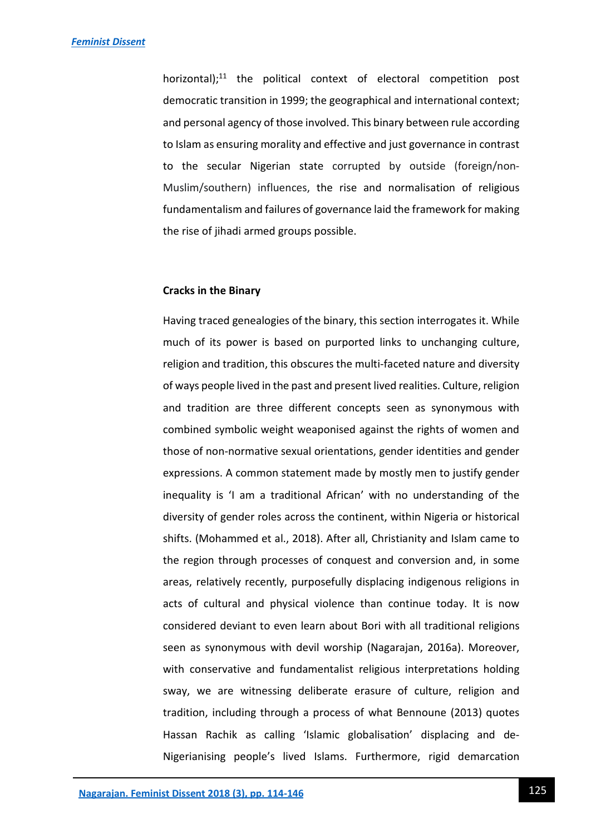horizontal); $^{11}$  the political context of electoral competition post democratic transition in 1999; the geographical and international context; and personal agency of those involved. This binary between rule according to Islam as ensuring morality and effective and just governance in contrast to the secular Nigerian state corrupted by outside (foreign/non-Muslim/southern) influences, the rise and normalisation of religious fundamentalism and failures of governance laid the framework for making the rise of jihadi armed groups possible.

#### **Cracks in the Binary**

Having traced genealogies of the binary, this section interrogates it. While much of its power is based on purported links to unchanging culture, religion and tradition, this obscures the multi-faceted nature and diversity of ways people lived in the past and present lived realities. Culture, religion and tradition are three different concepts seen as synonymous with combined symbolic weight weaponised against the rights of women and those of non-normative sexual orientations, gender identities and gender expressions. A common statement made by mostly men to justify gender inequality is 'I am a traditional African' with no understanding of the diversity of gender roles across the continent, within Nigeria or historical shifts. (Mohammed et al., 2018). After all, Christianity and Islam came to the region through processes of conquest and conversion and, in some areas, relatively recently, purposefully displacing indigenous religions in acts of cultural and physical violence than continue today. It is now considered deviant to even learn about Bori with all traditional religions seen as synonymous with devil worship (Nagarajan, 2016a). Moreover, with conservative and fundamentalist religious interpretations holding sway, we are witnessing deliberate erasure of culture, religion and tradition, including through a process of what Bennoune (2013) quotes Hassan Rachik as calling 'Islamic globalisation' displacing and de-Nigerianising people's lived Islams. Furthermore, rigid demarcation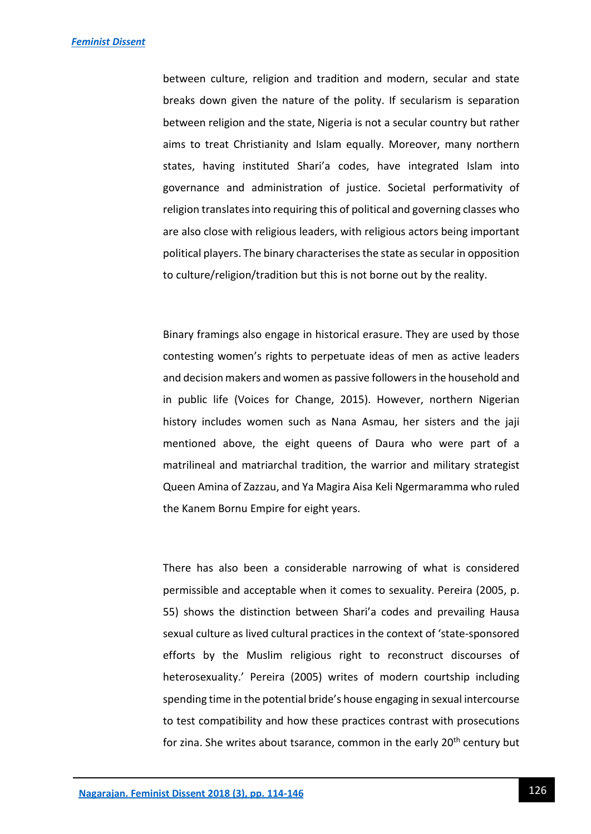between culture, religion and tradition and modern, secular and state breaks down given the nature of the polity. If secularism is separation between religion and the state, Nigeria is not a secular country but rather aims to treat Christianity and Islam equally. Moreover, many northern states, having instituted Shari'a codes, have integrated Islam into governance and administration of justice. Societal performativity of religion translates into requiring this of political and governing classes who are also close with religious leaders, with religious actors being important political players. The binary characterises the state as secular in opposition to culture/religion/tradition but this is not borne out by the reality.

Binary framings also engage in historical erasure. They are used by those contesting women's rights to perpetuate ideas of men as active leaders and decision makers and women as passive followers in the household and in public life (Voices for Change, 2015). However, northern Nigerian history includes women such as Nana Asmau, her sisters and the jaji mentioned above, the eight queens of Daura who were part of a matrilineal and matriarchal tradition, the warrior and military strategist Queen Amina of Zazzau, and Ya Magira Aisa Keli Ngermaramma who ruled the Kanem Bornu Empire for eight years.

There has also been a considerable narrowing of what is considered permissible and acceptable when it comes to sexuality. Pereira (2005, p. 55) shows the distinction between Shari'a codes and prevailing Hausa sexual culture as lived cultural practices in the context of 'state-sponsored efforts by the Muslim religious right to reconstruct discourses of heterosexuality.' Pereira (2005) writes of modern courtship including spending time in the potential bride's house engaging in sexual intercourse to test compatibility and how these practices contrast with prosecutions for zina. She writes about tsarance, common in the early 20<sup>th</sup> century but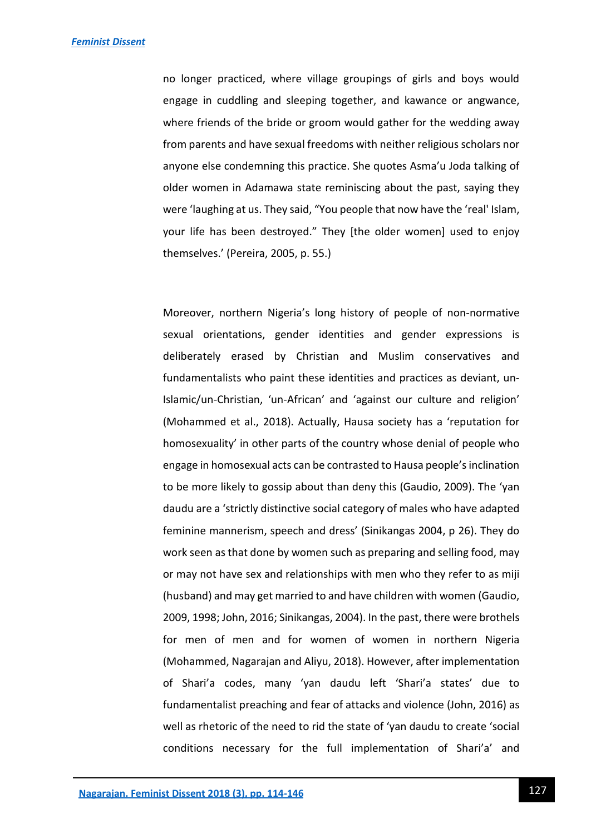no longer practiced, where village groupings of girls and boys would engage in cuddling and sleeping together, and kawance or angwance, where friends of the bride or groom would gather for the wedding away from parents and have sexual freedoms with neither religious scholars nor anyone else condemning this practice. She quotes Asma'u Joda talking of older women in Adamawa state reminiscing about the past, saying they were 'laughing at us. They said, "You people that now have the 'real' Islam, your life has been destroyed." They [the older women] used to enjoy themselves.' (Pereira, 2005, p. 55.)

Moreover, northern Nigeria's long history of people of non-normative sexual orientations, gender identities and gender expressions is deliberately erased by Christian and Muslim conservatives and fundamentalists who paint these identities and practices as deviant, un-Islamic/un-Christian, 'un-African' and 'against our culture and religion' (Mohammed et al., 2018). Actually, Hausa society has a 'reputation for homosexuality' in other parts of the country whose denial of people who engage in homosexual acts can be contrasted to Hausa people's inclination to be more likely to gossip about than deny this (Gaudio, 2009). The 'yan daudu are a 'strictly distinctive social category of males who have adapted feminine mannerism, speech and dress' (Sinikangas 2004, p 26). They do work seen as that done by women such as preparing and selling food, may or may not have sex and relationships with men who they refer to as miji (husband) and may get married to and have children with women (Gaudio, 2009, 1998; John, 2016; Sinikangas, 2004). In the past, there were brothels for men of men and for women of women in northern Nigeria (Mohammed, Nagarajan and Aliyu, 2018). However, after implementation of Shari'a codes, many 'yan daudu left 'Shari'a states' due to fundamentalist preaching and fear of attacks and violence (John, 2016) as well as rhetoric of the need to rid the state of 'yan daudu to create 'social conditions necessary for the full implementation of Shari'a' and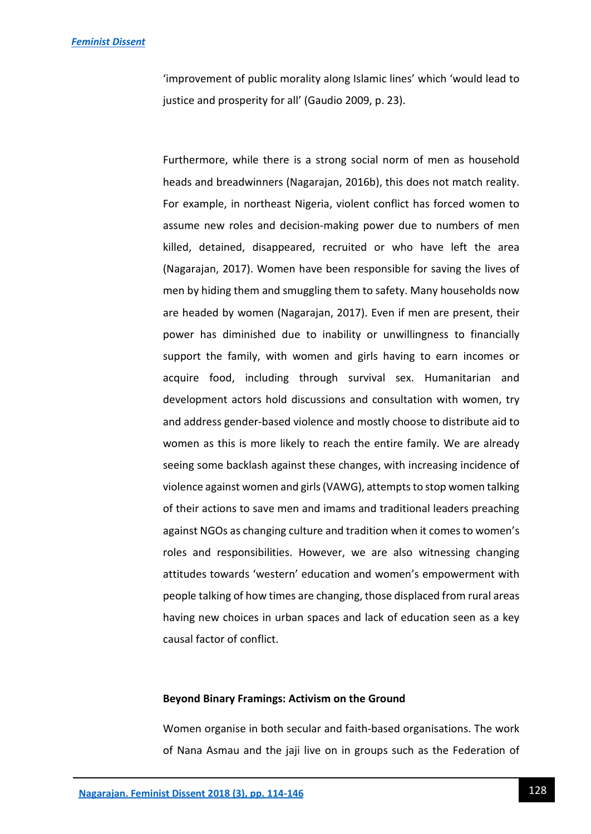'improvement of public morality along Islamic lines' which 'would lead to justice and prosperity for all' (Gaudio 2009, p. 23).

Furthermore, while there is a strong social norm of men as household heads and breadwinners (Nagarajan, 2016b), this does not match reality. For example, in northeast Nigeria, violent conflict has forced women to assume new roles and decision-making power due to numbers of men killed, detained, disappeared, recruited or who have left the area (Nagarajan, 2017). Women have been responsible for saving the lives of men by hiding them and smuggling them to safety. Many households now are headed by women (Nagarajan, 2017). Even if men are present, their power has diminished due to inability or unwillingness to financially support the family, with women and girls having to earn incomes or acquire food, including through survival sex. Humanitarian and development actors hold discussions and consultation with women, try and address gender-based violence and mostly choose to distribute aid to women as this is more likely to reach the entire family. We are already seeing some backlash against these changes, with increasing incidence of violence against women and girls (VAWG), attempts to stop women talking of their actions to save men and imams and traditional leaders preaching against NGOs as changing culture and tradition when it comes to women's roles and responsibilities. However, we are also witnessing changing attitudes towards 'western' education and women's empowerment with people talking of how times are changing, those displaced from rural areas having new choices in urban spaces and lack of education seen as a key causal factor of conflict.

#### **Beyond Binary Framings: Activism on the Ground**

Women organise in both secular and faith-based organisations. The work of Nana Asmau and the jaji live on in groups such as the Federation of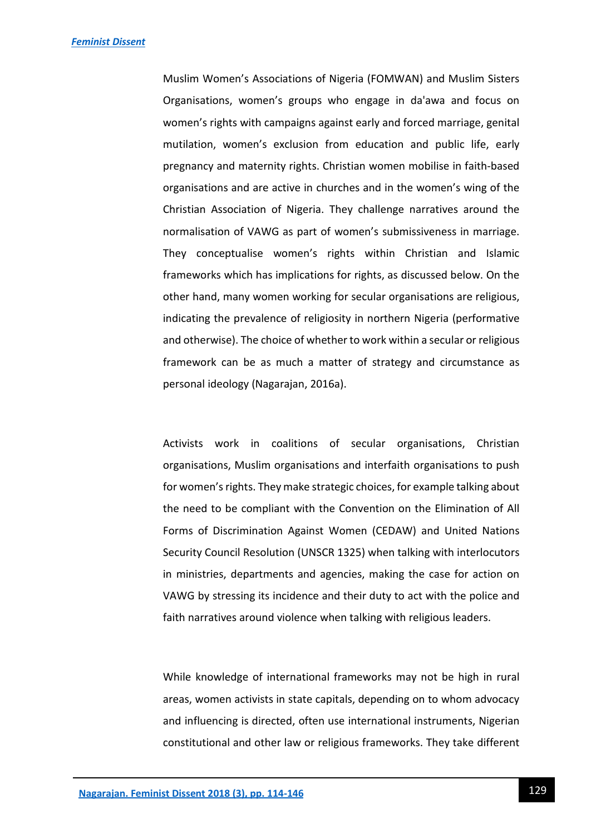Muslim Women's Associations of Nigeria (FOMWAN) and Muslim Sisters Organisations, women's groups who engage in da'awa and focus on women's rights with campaigns against early and forced marriage, genital mutilation, women's exclusion from education and public life, early pregnancy and maternity rights. Christian women mobilise in faith-based organisations and are active in churches and in the women's wing of the Christian Association of Nigeria. They challenge narratives around the normalisation of VAWG as part of women's submissiveness in marriage. They conceptualise women's rights within Christian and Islamic frameworks which has implications for rights, as discussed below. On the other hand, many women working for secular organisations are religious, indicating the prevalence of religiosity in northern Nigeria (performative and otherwise). The choice of whether to work within a secular or religious framework can be as much a matter of strategy and circumstance as personal ideology (Nagarajan, 2016a).

Activists work in coalitions of secular organisations, Christian organisations, Muslim organisations and interfaith organisations to push for women's rights. They make strategic choices, for example talking about the need to be compliant with the Convention on the Elimination of All Forms of Discrimination Against Women (CEDAW) and United Nations Security Council Resolution (UNSCR 1325) when talking with interlocutors in ministries, departments and agencies, making the case for action on VAWG by stressing its incidence and their duty to act with the police and faith narratives around violence when talking with religious leaders.

While knowledge of international frameworks may not be high in rural areas, women activists in state capitals, depending on to whom advocacy and influencing is directed, often use international instruments, Nigerian constitutional and other law or religious frameworks. They take different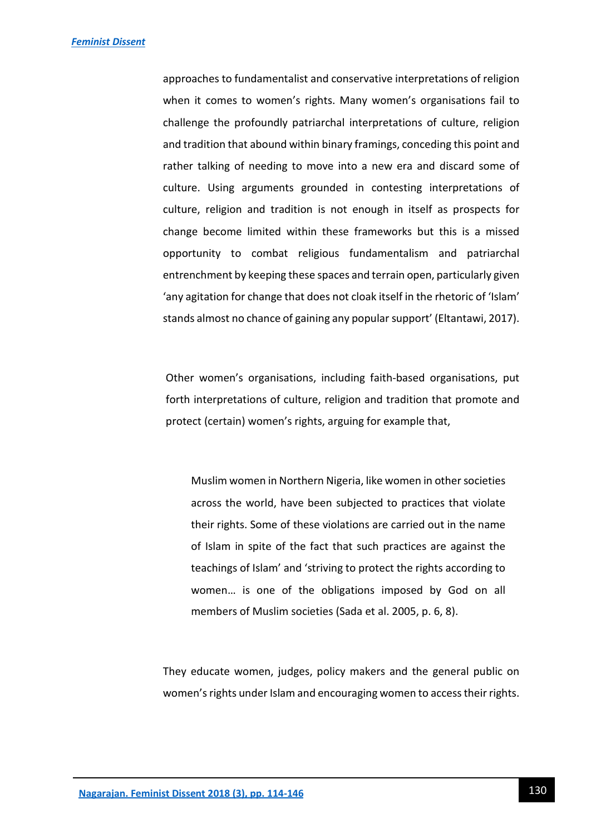approaches to fundamentalist and conservative interpretations of religion when it comes to women's rights. Many women's organisations fail to challenge the profoundly patriarchal interpretations of culture, religion and tradition that abound within binary framings, conceding this point and rather talking of needing to move into a new era and discard some of culture. Using arguments grounded in contesting interpretations of culture, religion and tradition is not enough in itself as prospects for change become limited within these frameworks but this is a missed opportunity to combat religious fundamentalism and patriarchal entrenchment by keeping these spaces and terrain open, particularly given 'any agitation for change that does not cloak itself in the rhetoric of 'Islam' stands almost no chance of gaining any popular support' (Eltantawi, 2017).

Other women's organisations, including faith-based organisations, put forth interpretations of culture, religion and tradition that promote and protect (certain) women's rights, arguing for example that,

Muslim women in Northern Nigeria, like women in other societies across the world, have been subjected to practices that violate their rights. Some of these violations are carried out in the name of Islam in spite of the fact that such practices are against the teachings of Islam' and 'striving to protect the rights according to women… is one of the obligations imposed by God on all members of Muslim societies (Sada et al. 2005, p. 6, 8).

They educate women, judges, policy makers and the general public on women's rights under Islam and encouraging women to access their rights.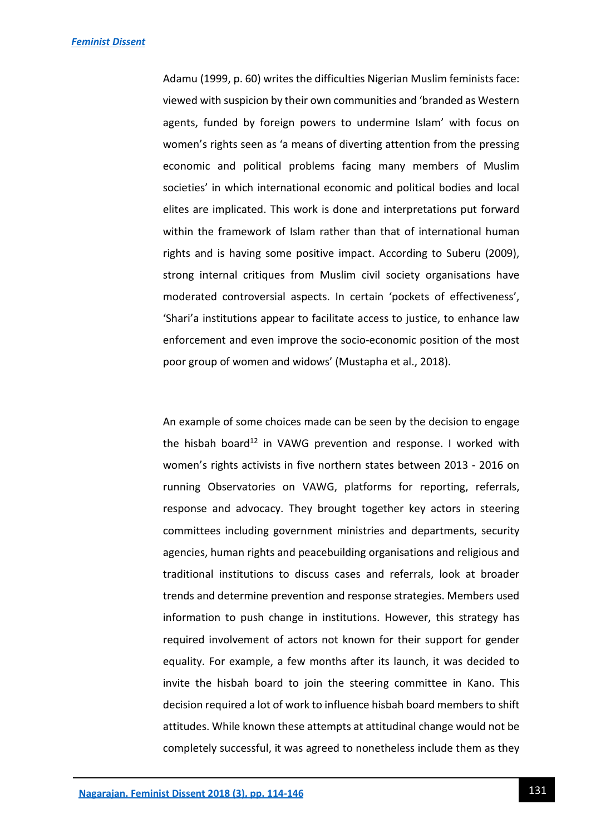Adamu (1999, p. 60) writes the difficulties Nigerian Muslim feminists face: viewed with suspicion by their own communities and 'branded as Western agents, funded by foreign powers to undermine Islam' with focus on women's rights seen as 'a means of diverting attention from the pressing economic and political problems facing many members of Muslim societies' in which international economic and political bodies and local elites are implicated. This work is done and interpretations put forward within the framework of Islam rather than that of international human rights and is having some positive impact. According to Suberu (2009), strong internal critiques from Muslim civil society organisations have moderated controversial aspects. In certain 'pockets of effectiveness', 'Shari'a institutions appear to facilitate access to justice, to enhance law enforcement and even improve the socio-economic position of the most poor group of women and widows' (Mustapha et al., 2018).

An example of some choices made can be seen by the decision to engage the hisbah board<sup>12</sup> in VAWG prevention and response. I worked with women's rights activists in five northern states between 2013 - 2016 on running Observatories on VAWG, platforms for reporting, referrals, response and advocacy. They brought together key actors in steering committees including government ministries and departments, security agencies, human rights and peacebuilding organisations and religious and traditional institutions to discuss cases and referrals, look at broader trends and determine prevention and response strategies. Members used information to push change in institutions. However, this strategy has required involvement of actors not known for their support for gender equality. For example, a few months after its launch, it was decided to invite the hisbah board to join the steering committee in Kano. This decision required a lot of work to influence hisbah board members to shift attitudes. While known these attempts at attitudinal change would not be completely successful, it was agreed to nonetheless include them as they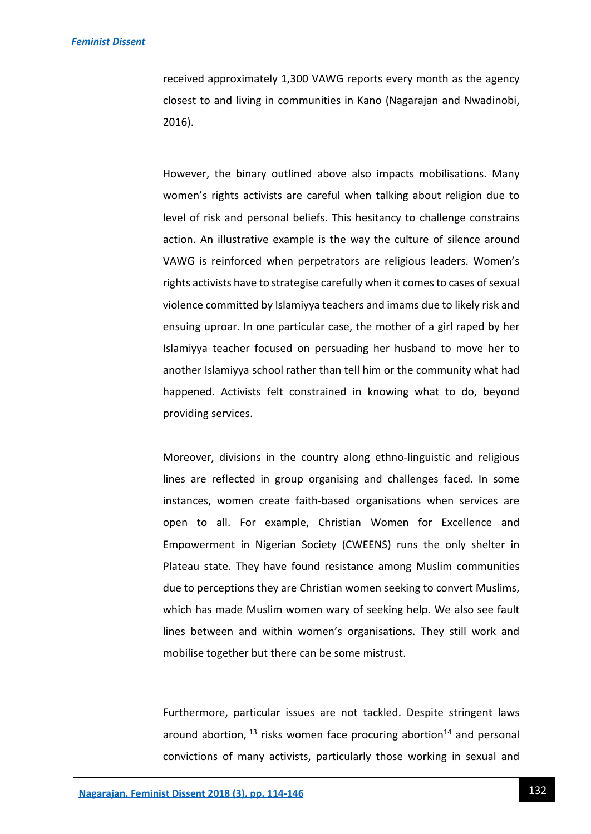received approximately 1,300 VAWG reports every month as the agency closest to and living in communities in Kano (Nagarajan and Nwadinobi, 2016).

However, the binary outlined above also impacts mobilisations. Many women's rights activists are careful when talking about religion due to level of risk and personal beliefs. This hesitancy to challenge constrains action. An illustrative example is the way the culture of silence around VAWG is reinforced when perpetrators are religious leaders. Women's rights activists have to strategise carefully when it comes to cases of sexual violence committed by Islamiyya teachers and imams due to likely risk and ensuing uproar. In one particular case, the mother of a girl raped by her Islamiyya teacher focused on persuading her husband to move her to another Islamiyya school rather than tell him or the community what had happened. Activists felt constrained in knowing what to do, beyond providing services.

Moreover, divisions in the country along ethno-linguistic and religious lines are reflected in group organising and challenges faced. In some instances, women create faith-based organisations when services are open to all. For example, Christian Women for Excellence and Empowerment in Nigerian Society (CWEENS) runs the only shelter in Plateau state. They have found resistance among Muslim communities due to perceptions they are Christian women seeking to convert Muslims, which has made Muslim women wary of seeking help. We also see fault lines between and within women's organisations. They still work and mobilise together but there can be some mistrust.

Furthermore, particular issues are not tackled. Despite stringent laws around abortion,  $^{13}$  risks women face procuring abortion<sup>14</sup> and personal convictions of many activists, particularly those working in sexual and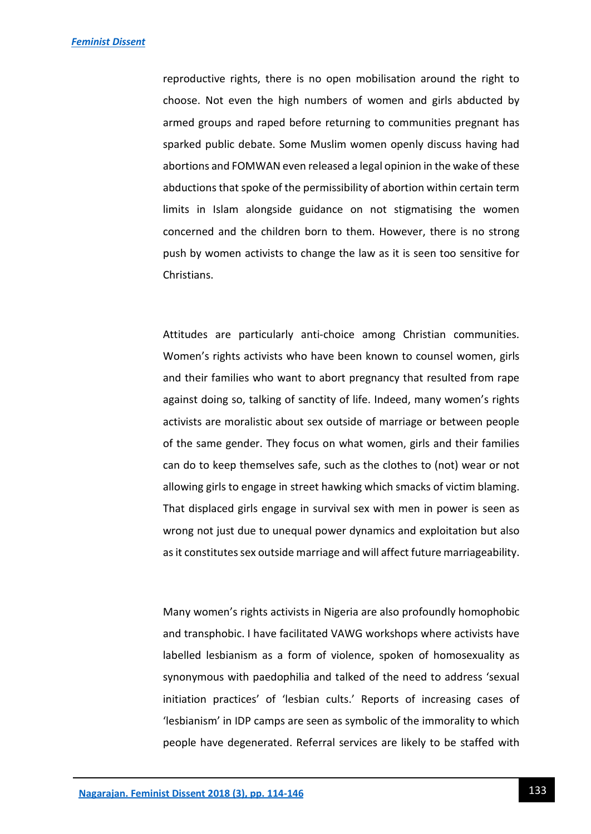reproductive rights, there is no open mobilisation around the right to choose. Not even the high numbers of women and girls abducted by armed groups and raped before returning to communities pregnant has sparked public debate. Some Muslim women openly discuss having had abortions and FOMWAN even released a legal opinion in the wake of these abductions that spoke of the permissibility of abortion within certain term limits in Islam alongside guidance on not stigmatising the women concerned and the children born to them. However, there is no strong push by women activists to change the law as it is seen too sensitive for Christians.

Attitudes are particularly anti-choice among Christian communities. Women's rights activists who have been known to counsel women, girls and their families who want to abort pregnancy that resulted from rape against doing so, talking of sanctity of life. Indeed, many women's rights activists are moralistic about sex outside of marriage or between people of the same gender. They focus on what women, girls and their families can do to keep themselves safe, such as the clothes to (not) wear or not allowing girls to engage in street hawking which smacks of victim blaming. That displaced girls engage in survival sex with men in power is seen as wrong not just due to unequal power dynamics and exploitation but also as it constitutes sex outside marriage and will affect future marriageability.

Many women's rights activists in Nigeria are also profoundly homophobic and transphobic. I have facilitated VAWG workshops where activists have labelled lesbianism as a form of violence, spoken of homosexuality as synonymous with paedophilia and talked of the need to address 'sexual initiation practices' of 'lesbian cults.' Reports of increasing cases of 'lesbianism' in IDP camps are seen as symbolic of the immorality to which people have degenerated. Referral services are likely to be staffed with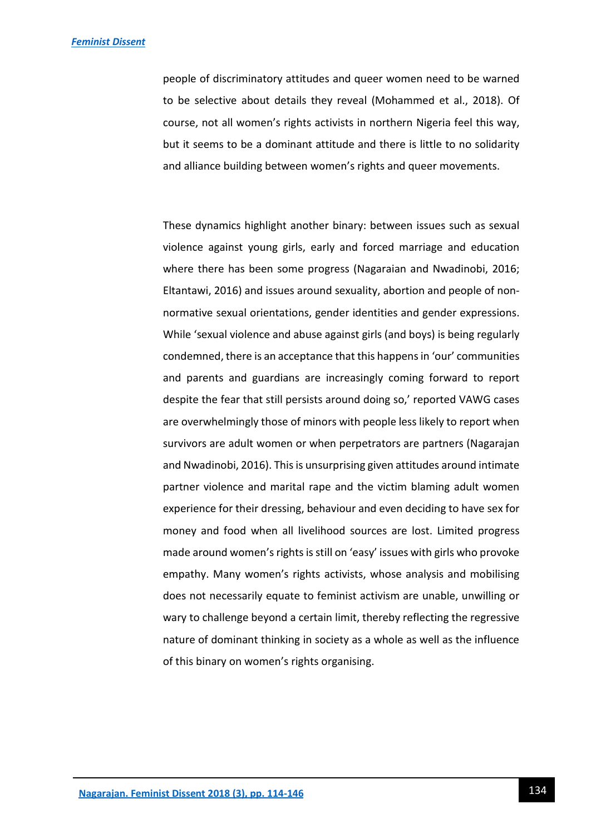people of discriminatory attitudes and queer women need to be warned to be selective about details they reveal (Mohammed et al., 2018). Of course, not all women's rights activists in northern Nigeria feel this way, but it seems to be a dominant attitude and there is little to no solidarity and alliance building between women's rights and queer movements.

These dynamics highlight another binary: between issues such as sexual violence against young girls, early and forced marriage and education where there has been some progress (Nagaraian and Nwadinobi, 2016; Eltantawi, 2016) and issues around sexuality, abortion and people of nonnormative sexual orientations, gender identities and gender expressions. While 'sexual violence and abuse against girls (and boys) is being regularly condemned, there is an acceptance that this happens in 'our' communities and parents and guardians are increasingly coming forward to report despite the fear that still persists around doing so,' reported VAWG cases are overwhelmingly those of minors with people less likely to report when survivors are adult women or when perpetrators are partners (Nagarajan and Nwadinobi, 2016). This is unsurprising given attitudes around intimate partner violence and marital rape and the victim blaming adult women experience for their dressing, behaviour and even deciding to have sex for money and food when all livelihood sources are lost. Limited progress made around women's rights is still on 'easy' issues with girls who provoke empathy. Many women's rights activists, whose analysis and mobilising does not necessarily equate to feminist activism are unable, unwilling or wary to challenge beyond a certain limit, thereby reflecting the regressive nature of dominant thinking in society as a whole as well as the influence of this binary on women's rights organising.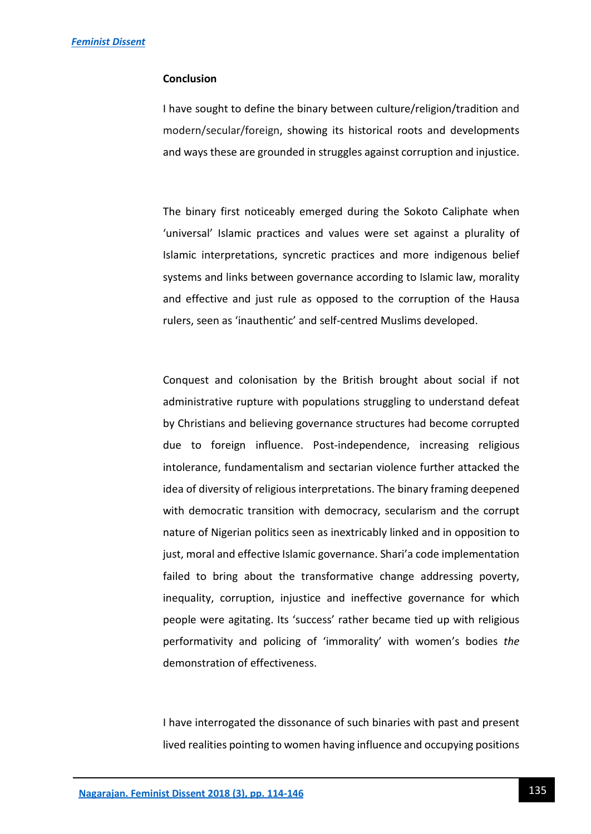## **Conclusion**

I have sought to define the binary between culture/religion/tradition and modern/secular/foreign, showing its historical roots and developments and ways these are grounded in struggles against corruption and injustice.

The binary first noticeably emerged during the Sokoto Caliphate when 'universal' Islamic practices and values were set against a plurality of Islamic interpretations, syncretic practices and more indigenous belief systems and links between governance according to Islamic law, morality and effective and just rule as opposed to the corruption of the Hausa rulers, seen as 'inauthentic' and self-centred Muslims developed.

Conquest and colonisation by the British brought about social if not administrative rupture with populations struggling to understand defeat by Christians and believing governance structures had become corrupted due to foreign influence. Post-independence, increasing religious intolerance, fundamentalism and sectarian violence further attacked the idea of diversity of religious interpretations. The binary framing deepened with democratic transition with democracy, secularism and the corrupt nature of Nigerian politics seen as inextricably linked and in opposition to just, moral and effective Islamic governance. Shari'a code implementation failed to bring about the transformative change addressing poverty, inequality, corruption, injustice and ineffective governance for which people were agitating. Its 'success' rather became tied up with religious performativity and policing of 'immorality' with women's bodies *the*  demonstration of effectiveness.

I have interrogated the dissonance of such binaries with past and present lived realities pointing to women having influence and occupying positions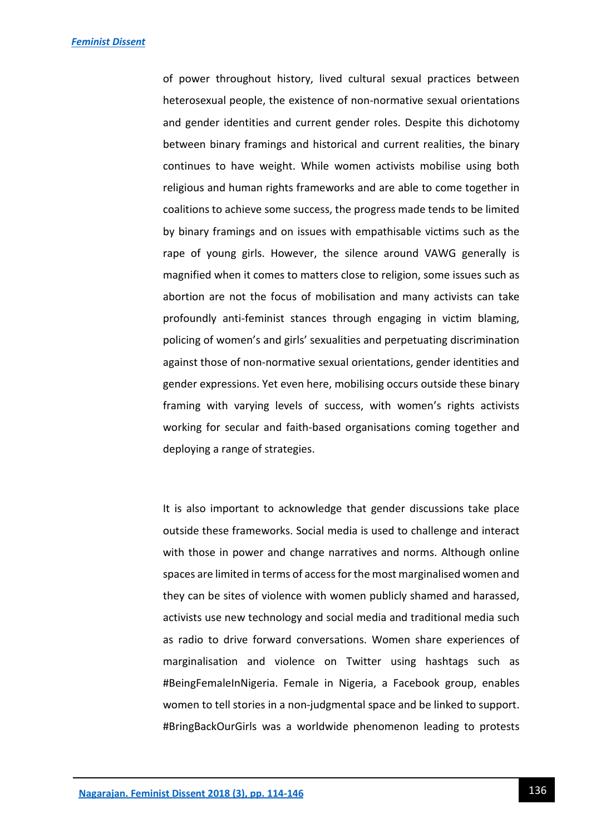of power throughout history, lived cultural sexual practices between heterosexual people, the existence of non-normative sexual orientations and gender identities and current gender roles. Despite this dichotomy between binary framings and historical and current realities, the binary continues to have weight. While women activists mobilise using both religious and human rights frameworks and are able to come together in coalitions to achieve some success, the progress made tends to be limited by binary framings and on issues with empathisable victims such as the rape of young girls. However, the silence around VAWG generally is magnified when it comes to matters close to religion, some issues such as abortion are not the focus of mobilisation and many activists can take profoundly anti-feminist stances through engaging in victim blaming, policing of women's and girls' sexualities and perpetuating discrimination against those of non-normative sexual orientations, gender identities and gender expressions. Yet even here, mobilising occurs outside these binary framing with varying levels of success, with women's rights activists working for secular and faith-based organisations coming together and deploying a range of strategies.

It is also important to acknowledge that gender discussions take place outside these frameworks. Social media is used to challenge and interact with those in power and change narratives and norms. Although online spaces are limited in terms of access for the most marginalised women and they can be sites of violence with women publicly shamed and harassed, activists use new technology and social media and traditional media such as radio to drive forward conversations. Women share experiences of marginalisation and violence on Twitter using hashtags such as #BeingFemaleInNigeria. Female in Nigeria, a Facebook group, enables women to tell stories in a non-judgmental space and be linked to support. #BringBackOurGirls was a worldwide phenomenon leading to protests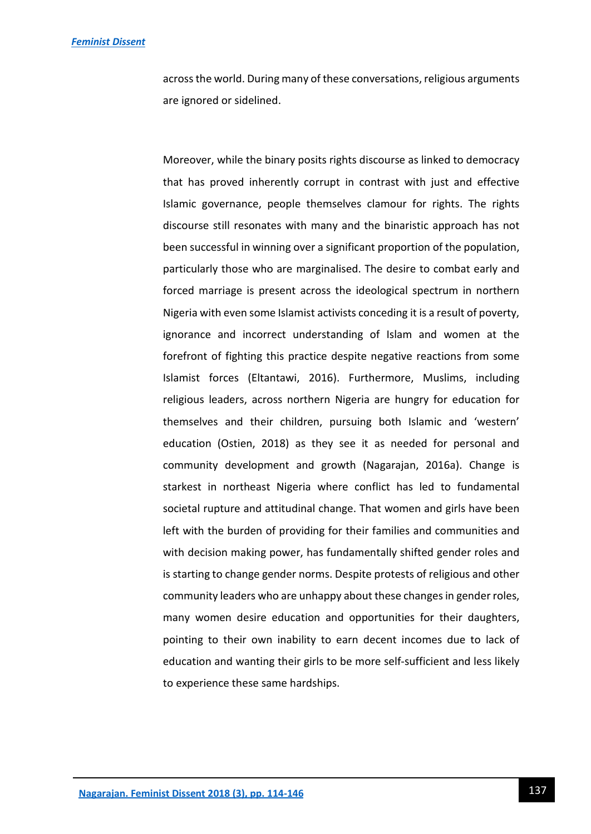across the world. During many of these conversations, religious arguments are ignored or sidelined.

Moreover, while the binary posits rights discourse as linked to democracy that has proved inherently corrupt in contrast with just and effective Islamic governance, people themselves clamour for rights. The rights discourse still resonates with many and the binaristic approach has not been successful in winning over a significant proportion of the population, particularly those who are marginalised. The desire to combat early and forced marriage is present across the ideological spectrum in northern Nigeria with even some Islamist activists conceding it is a result of poverty, ignorance and incorrect understanding of Islam and women at the forefront of fighting this practice despite negative reactions from some Islamist forces (Eltantawi, 2016). Furthermore, Muslims, including religious leaders, across northern Nigeria are hungry for education for themselves and their children, pursuing both Islamic and 'western' education (Ostien, 2018) as they see it as needed for personal and community development and growth (Nagarajan, 2016a). Change is starkest in northeast Nigeria where conflict has led to fundamental societal rupture and attitudinal change. That women and girls have been left with the burden of providing for their families and communities and with decision making power, has fundamentally shifted gender roles and is starting to change gender norms. Despite protests of religious and other community leaders who are unhappy about these changes in gender roles, many women desire education and opportunities for their daughters, pointing to their own inability to earn decent incomes due to lack of education and wanting their girls to be more self-sufficient and less likely to experience these same hardships.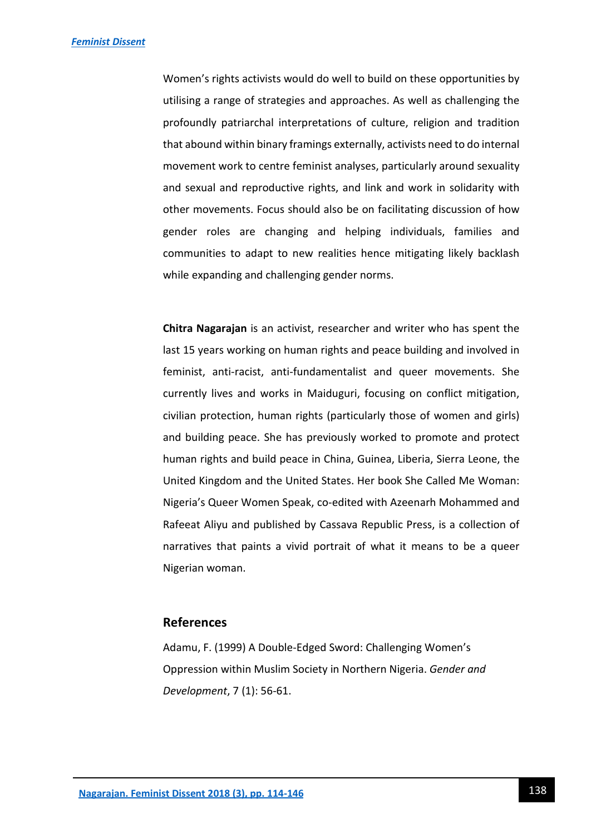Women's rights activists would do well to build on these opportunities by utilising a range of strategies and approaches. As well as challenging the profoundly patriarchal interpretations of culture, religion and tradition that abound within binary framings externally, activists need to do internal movement work to centre feminist analyses, particularly around sexuality and sexual and reproductive rights, and link and work in solidarity with other movements. Focus should also be on facilitating discussion of how gender roles are changing and helping individuals, families and communities to adapt to new realities hence mitigating likely backlash while expanding and challenging gender norms.

**Chitra Nagarajan** is an activist, researcher and writer who has spent the last 15 years working on human rights and peace building and involved in feminist, anti-racist, anti-fundamentalist and queer movements. She currently lives and works in Maiduguri, focusing on conflict mitigation, civilian protection, human rights (particularly those of women and girls) and building peace. She has previously worked to promote and protect human rights and build peace in China, Guinea, Liberia, Sierra Leone, the United Kingdom and the United States. Her book She Called Me Woman: Nigeria's Queer Women Speak, co-edited with Azeenarh Mohammed and Rafeeat Aliyu and published by Cassava Republic Press, is a collection of narratives that paints a vivid portrait of what it means to be a queer Nigerian woman.

## **References**

Adamu, F. (1999) A Double-Edged Sword: Challenging Women's Oppression within Muslim Society in Northern Nigeria. *Gender and Development*, 7 (1): 56-61.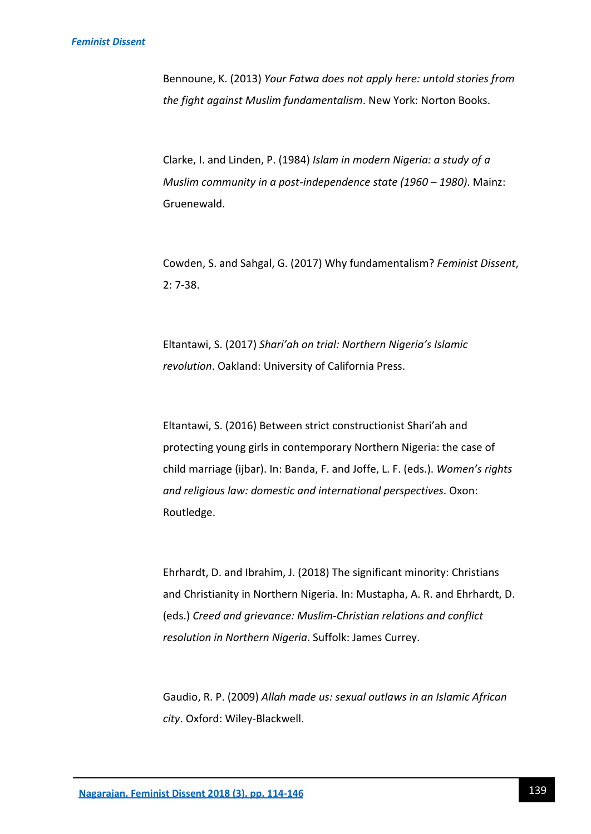Bennoune, K. (2013) *Your Fatwa does not apply here: untold stories from the fight against Muslim fundamentalism*. New York: Norton Books.

Clarke, I. and Linden, P. (1984) *Islam in modern Nigeria: a study of a Muslim community in a post-independence state (1960 – 1980)*. Mainz: Gruenewald.

Cowden, S. and Sahgal, G. (2017) Why fundamentalism? *Feminist Dissent*, 2: 7-38.

Eltantawi, S. (2017) *Shari'ah on trial: Northern Nigeria's Islamic revolution*. Oakland: University of California Press.

Eltantawi, S. (2016) Between strict constructionist Shari'ah and protecting young girls in contemporary Northern Nigeria: the case of child marriage (ijbar). In: Banda, F. and Joffe, L. F. (eds.). *Women's rights and religious law: domestic and international perspectives*. Oxon: Routledge.

Ehrhardt, D. and Ibrahim, J. (2018) The significant minority: Christians and Christianity in Northern Nigeria. In: Mustapha, A. R. and Ehrhardt, D. (eds.) *Creed and grievance: Muslim-Christian relations and conflict resolution in Northern Nigeria*. Suffolk: James Currey.

Gaudio, R. P. (2009) *Allah made us: sexual outlaws in an Islamic African city*. Oxford: Wiley-Blackwell.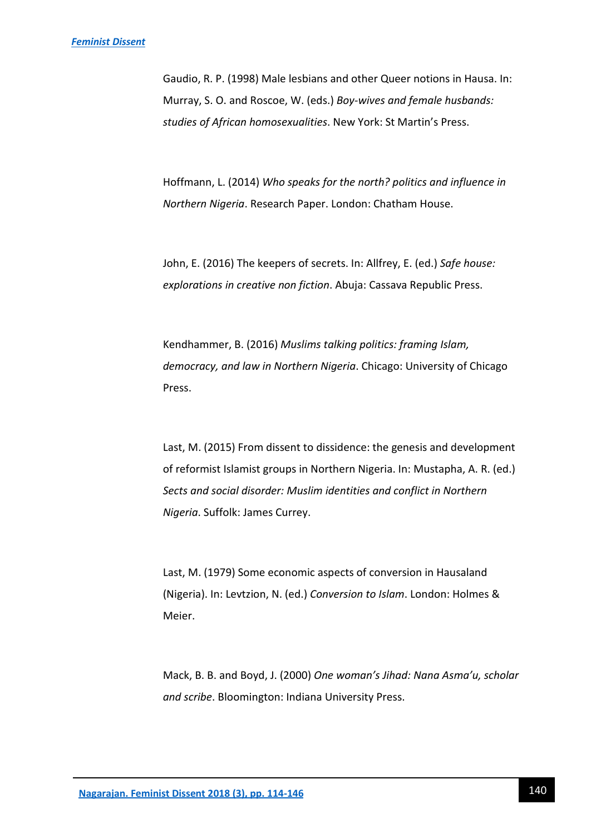Gaudio, R. P. (1998) Male lesbians and other Queer notions in Hausa. In: Murray, S. O. and Roscoe, W. (eds.) *Boy-wives and female husbands: studies of African homosexualities*. New York: St Martin's Press.

Hoffmann, L. (2014) *Who speaks for the north? politics and influence in Northern Nigeria*. Research Paper. London: Chatham House.

John, E. (2016) The keepers of secrets. In: Allfrey, E. (ed.) *Safe house: explorations in creative non fiction*. Abuja: Cassava Republic Press.

Kendhammer, B. (2016) *Muslims talking politics: framing Islam, democracy, and law in Northern Nigeria*. Chicago: University of Chicago Press.

Last, M. (2015) From dissent to dissidence: the genesis and development of reformist Islamist groups in Northern Nigeria. In: Mustapha, A. R. (ed.) *Sects and social disorder: Muslim identities and conflict in Northern Nigeria*. Suffolk: James Currey.

Last, M. (1979) Some economic aspects of conversion in Hausaland (Nigeria). In: Levtzion, N. (ed.) *Conversion to Islam*. London: Holmes & Meier.

Mack, B. B. and Boyd, J. (2000) *One woman's Jihad: Nana Asma'u, scholar and scribe*. Bloomington: Indiana University Press.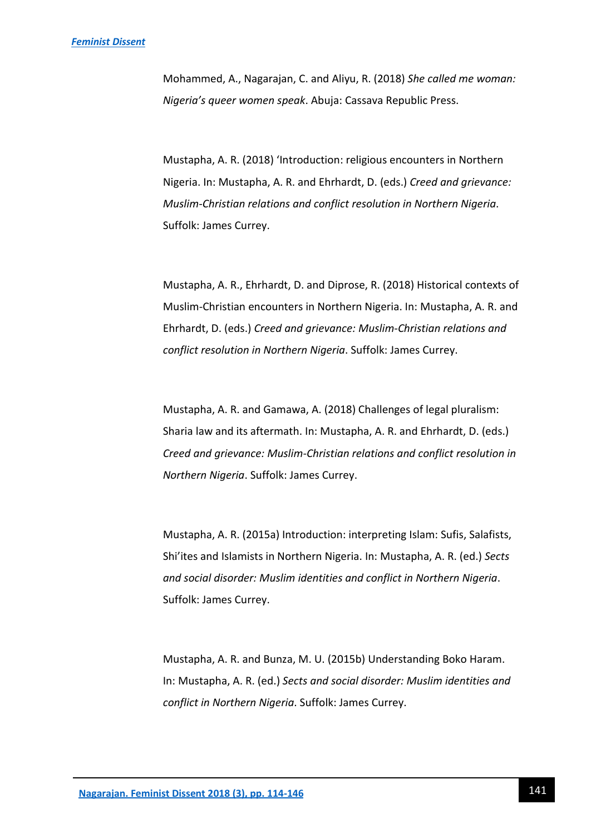Mohammed, A., Nagarajan, C. and Aliyu, R. (2018) *She called me woman: Nigeria's queer women speak*. Abuja: Cassava Republic Press.

Mustapha, A. R. (2018) 'Introduction: religious encounters in Northern Nigeria. In: Mustapha, A. R. and Ehrhardt, D. (eds.) *Creed and grievance: Muslim-Christian relations and conflict resolution in Northern Nigeria*. Suffolk: James Currey.

Mustapha, A. R., Ehrhardt, D. and Diprose, R. (2018) Historical contexts of Muslim-Christian encounters in Northern Nigeria. In: Mustapha, A. R. and Ehrhardt, D. (eds.) *Creed and grievance: Muslim-Christian relations and conflict resolution in Northern Nigeria*. Suffolk: James Currey.

Mustapha, A. R. and Gamawa, A. (2018) Challenges of legal pluralism: Sharia law and its aftermath. In: Mustapha, A. R. and Ehrhardt, D. (eds.) *Creed and grievance: Muslim-Christian relations and conflict resolution in Northern Nigeria*. Suffolk: James Currey.

Mustapha, A. R. (2015a) Introduction: interpreting Islam: Sufis, Salafists, Shi'ites and Islamists in Northern Nigeria. In: Mustapha, A. R. (ed.) *Sects and social disorder: Muslim identities and conflict in Northern Nigeria*. Suffolk: James Currey.

Mustapha, A. R. and Bunza, M. U. (2015b) Understanding Boko Haram. In: Mustapha, A. R. (ed.) *Sects and social disorder: Muslim identities and conflict in Northern Nigeria*. Suffolk: James Currey.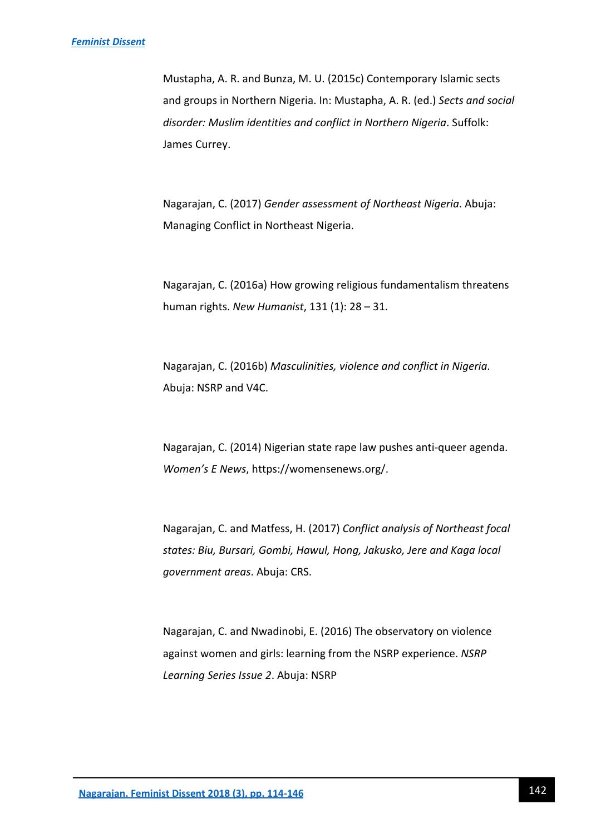#### *[Feminist Dissent](https://journals.warwick.ac.uk/index.php/feministdissent/index)*

Mustapha, A. R. and Bunza, M. U. (2015c) Contemporary Islamic sects and groups in Northern Nigeria. In: Mustapha, A. R. (ed.) *Sects and social disorder: Muslim identities and conflict in Northern Nigeria*. Suffolk: James Currey.

Nagarajan, C. (2017) *Gender assessment of Northeast Nigeria*. Abuja: Managing Conflict in Northeast Nigeria.

Nagarajan, C. (2016a) How growing religious fundamentalism threatens human rights. *New Humanist*, 131 (1): 28 – 31.

Nagarajan, C. (2016b) *Masculinities, violence and conflict in Nigeria*. Abuja: NSRP and V4C.

Nagarajan, C. (2014) Nigerian state rape law pushes anti-queer agenda. *Women's E News*, https://womensenews.org/.

Nagarajan, C. and Matfess, H. (2017) *Conflict analysis of Northeast focal states: Biu, Bursari, Gombi, Hawul, Hong, Jakusko, Jere and Kaga local government areas*. Abuja: CRS.

Nagarajan, C. and Nwadinobi, E. (2016) The observatory on violence against women and girls: learning from the NSRP experience. *NSRP Learning Series Issue 2*. Abuja: NSRP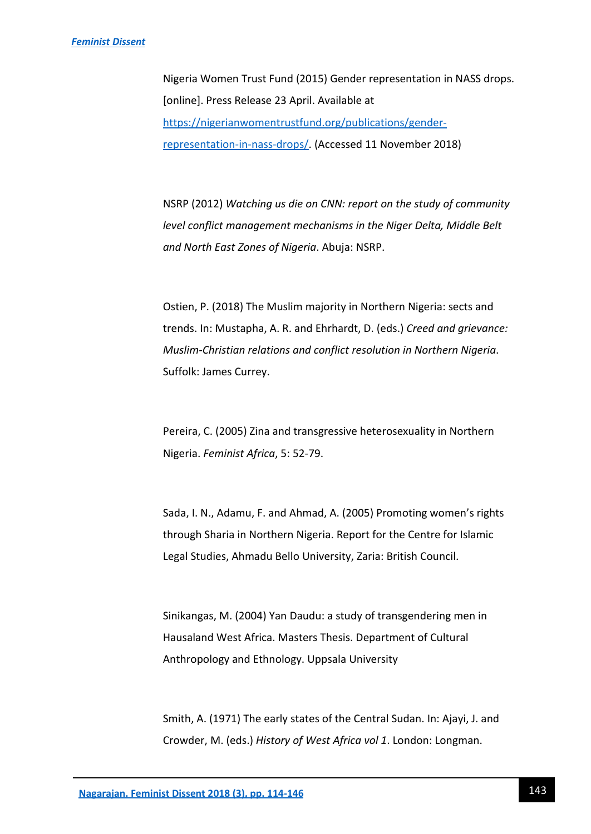Nigeria Women Trust Fund (2015) Gender representation in NASS drops. [online]. Press Release 23 April. Available at [https://nigerianwomentrustfund.org/publications/gender](https://nigerianwomentrustfund.org/publications/gender-representation-in-nass-drops/)[representation-in-nass-drops/.](https://nigerianwomentrustfund.org/publications/gender-representation-in-nass-drops/) (Accessed 11 November 2018)

NSRP (2012) *Watching us die on CNN: report on the study of community level conflict management mechanisms in the Niger Delta, Middle Belt and North East Zones of Nigeria*. Abuja: NSRP.

Ostien, P. (2018) The Muslim majority in Northern Nigeria: sects and trends. In: Mustapha, A. R. and Ehrhardt, D. (eds.) *Creed and grievance: Muslim-Christian relations and conflict resolution in Northern Nigeria*. Suffolk: James Currey.

Pereira, C. (2005) Zina and transgressive heterosexuality in Northern Nigeria. *Feminist Africa*, 5: 52-79.

Sada, I. N., Adamu, F. and Ahmad, A. (2005) Promoting women's rights through Sharia in Northern Nigeria. Report for the Centre for Islamic Legal Studies, Ahmadu Bello University, Zaria: British Council.

Sinikangas, M. (2004) Yan Daudu: a study of transgendering men in Hausaland West Africa. Masters Thesis. Department of Cultural Anthropology and Ethnology. Uppsala University

Smith, A. (1971) The early states of the Central Sudan. In: Ajayi, J. and Crowder, M. (eds.) *History of West Africa vol 1*. London: Longman.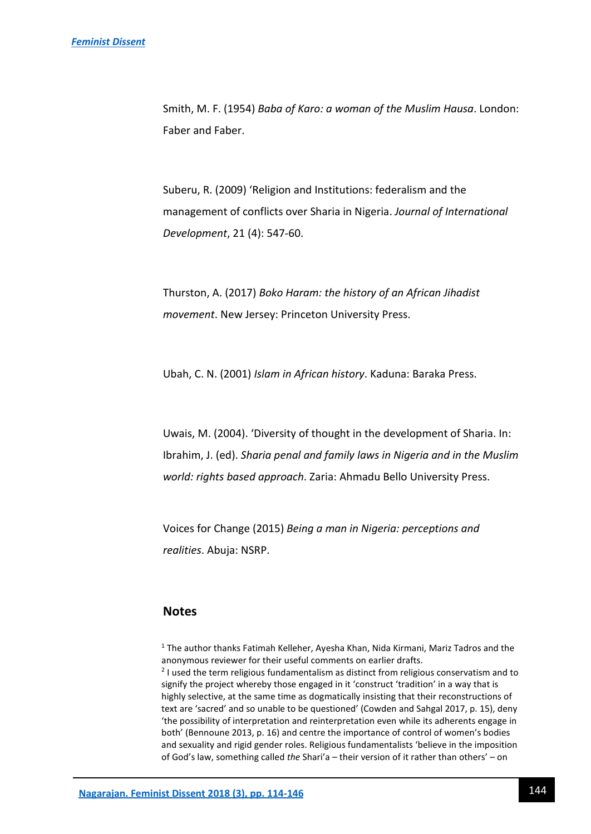Smith, M. F. (1954) *Baba of Karo: a woman of the Muslim Hausa*. London: Faber and Faber.

Suberu, R. (2009) 'Religion and Institutions: federalism and the management of conflicts over Sharia in Nigeria. *Journal of International Development*, 21 (4): 547-60.

Thurston, A. (2017) *Boko Haram: the history of an African Jihadist movement*. New Jersey: Princeton University Press.

Ubah, C. N. (2001) *Islam in African history*. Kaduna: Baraka Press.

Uwais, M. (2004). 'Diversity of thought in the development of Sharia. In: Ibrahim, J. (ed). *Sharia penal and family laws in Nigeria and in the Muslim world: rights based approach*. Zaria: Ahmadu Bello University Press.

Voices for Change (2015) *Being a man in Nigeria: perceptions and realities*. Abuja: NSRP.

## **Notes**

 $<sup>1</sup>$  The author thanks Fatimah Kelleher, Ayesha Khan, Nida Kirmani, Mariz Tadros and the</sup> anonymous reviewer for their useful comments on earlier drafts. <sup>2</sup> I used the term religious fundamentalism as distinct from religious conservatism and to signify the project whereby those engaged in it 'construct 'tradition' in a way that is highly selective, at the same time as dogmatically insisting that their reconstructions of text are 'sacred' and so unable to be questioned' (Cowden and Sahgal 2017, p. 15), deny 'the possibility of interpretation and reinterpretation even while its adherents engage in both' (Bennoune 2013, p. 16) and centre the importance of control of women's bodies and sexuality and rigid gender roles. Religious fundamentalists 'believe in the imposition of God's law, something called *the* Shari'a – their version of it rather than others' – on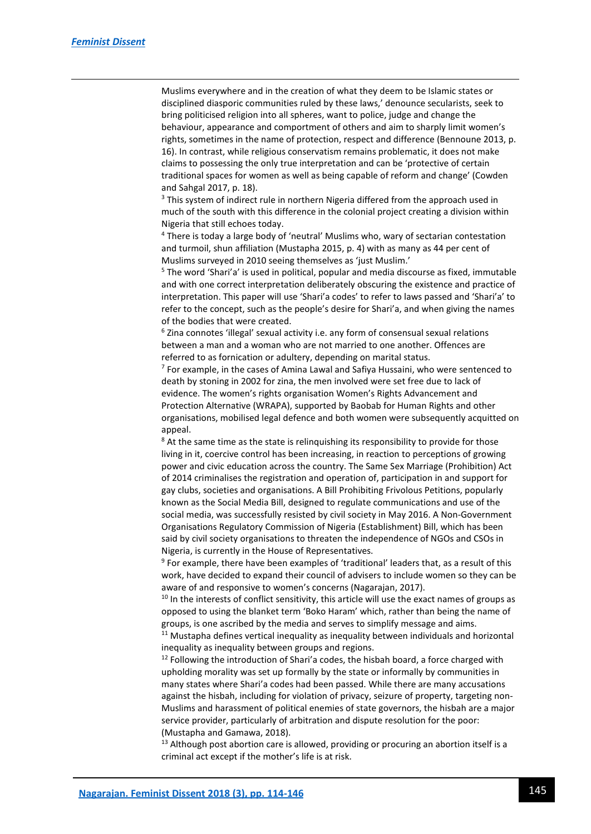$\overline{a}$ 

Muslims everywhere and in the creation of what they deem to be Islamic states or disciplined diasporic communities ruled by these laws,' denounce secularists, seek to bring politicised religion into all spheres, want to police, judge and change the behaviour, appearance and comportment of others and aim to sharply limit women's rights, sometimes in the name of protection, respect and difference (Bennoune 2013, p. 16). In contrast, while religious conservatism remains problematic, it does not make claims to possessing the only true interpretation and can be 'protective of certain traditional spaces for women as well as being capable of reform and change' (Cowden and Sahgal 2017, p. 18).

<sup>3</sup> This system of indirect rule in northern Nigeria differed from the approach used in much of the south with this difference in the colonial project creating a division within Nigeria that still echoes today.

<sup>4</sup> There is today a large body of 'neutral' Muslims who, wary of sectarian contestation and turmoil, shun affiliation (Mustapha 2015, p. 4) with as many as 44 per cent of Muslims surveyed in 2010 seeing themselves as 'just Muslim.'

<sup>5</sup> The word 'Shari'a' is used in political, popular and media discourse as fixed, immutable and with one correct interpretation deliberately obscuring the existence and practice of interpretation. This paper will use 'Shari'a codes' to refer to laws passed and 'Shari'a' to refer to the concept, such as the people's desire for Shari'a, and when giving the names of the bodies that were created.

<sup>6</sup> Zina connotes 'illegal' sexual activity i.e. any form of consensual sexual relations between a man and a woman who are not married to one another. Offences are referred to as fornication or adultery, depending on marital status.

<sup>7</sup> For example, in the cases of Amina Lawal and Safiya Hussaini, who were sentenced to death by stoning in 2002 for zina, the men involved were set free due to lack of evidence. The women's rights organisation Women's Rights Advancement and Protection Alternative (WRAPA), supported by Baobab for Human Rights and other organisations, mobilised legal defence and both women were subsequently acquitted on appeal.

<sup>8</sup> At the same time as the state is relinquishing its responsibility to provide for those living in it, coercive control has been increasing, in reaction to perceptions of growing power and civic education across the country. The Same Sex Marriage (Prohibition) Act of 2014 criminalises the registration and operation of, participation in and support for gay clubs, societies and organisations. A Bill Prohibiting Frivolous Petitions, popularly known as the Social Media Bill, designed to regulate communications and use of the social media, was successfully resisted by civil society in May 2016. A Non-Government Organisations Regulatory Commission of Nigeria (Establishment) Bill, which has been said by civil society organisations to threaten the independence of NGOs and CSOs in Nigeria, is currently in the House of Representatives.

<sup>9</sup> For example, there have been examples of 'traditional' leaders that, as a result of this work, have decided to expand their council of advisers to include women so they can be aware of and responsive to women's concerns (Nagarajan, 2017).

 $10$  In the interests of conflict sensitivity, this article will use the exact names of groups as opposed to using the blanket term 'Boko Haram' which, rather than being the name of groups, is one ascribed by the media and serves to simplify message and aims.

 $11$  Mustapha defines vertical inequality as inequality between individuals and horizontal inequality as inequality between groups and regions.

 $12$  Following the introduction of Shari'a codes, the hisbah board, a force charged with upholding morality was set up formally by the state or informally by communities in many states where Shari'a codes had been passed. While there are many accusations against the hisbah, including for violation of privacy, seizure of property, targeting non-Muslims and harassment of political enemies of state governors, the hisbah are a major service provider, particularly of arbitration and dispute resolution for the poor: (Mustapha and Gamawa, 2018).

<sup>13</sup> Although post abortion care is allowed, providing or procuring an abortion itself is a criminal act except if the mother's life is at risk.